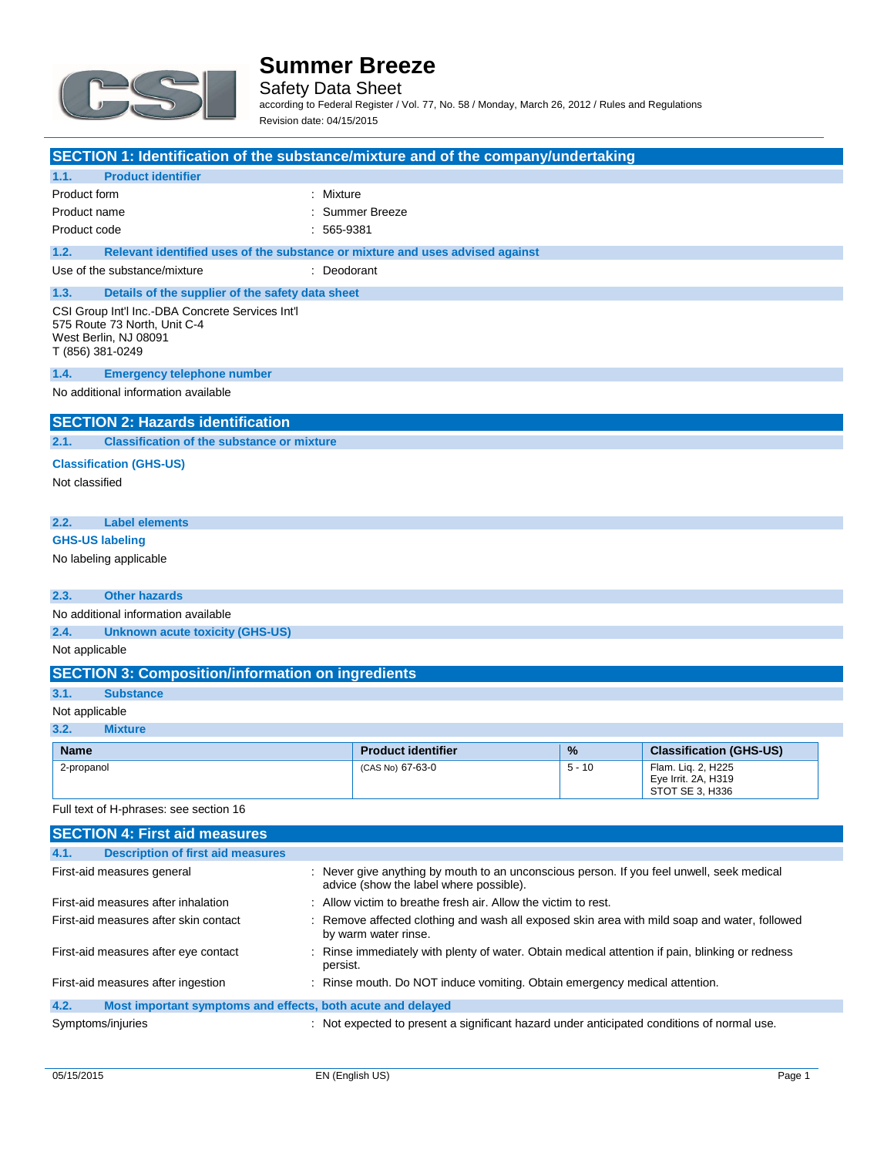

Safety Data Sheet according to Federal Register / Vol. 77, No. 58 / Monday, March 26, 2012 / Rules and Regulations Revision date: 04/15/2015

| SECTION 1: Identification of the substance/mixture and of the company/undertaking                                                                                  |              |                           |          |                                        |
|--------------------------------------------------------------------------------------------------------------------------------------------------------------------|--------------|---------------------------|----------|----------------------------------------|
| 1.1.<br><b>Product identifier</b>                                                                                                                                  |              |                           |          |                                        |
| Product form                                                                                                                                                       | : Mixture    |                           |          |                                        |
| Product name                                                                                                                                                       |              | : Summer Breeze           |          |                                        |
| Product code                                                                                                                                                       | $: 565-9381$ |                           |          |                                        |
| 1.2.<br>Relevant identified uses of the substance or mixture and uses advised against                                                                              |              |                           |          |                                        |
| Use of the substance/mixture                                                                                                                                       | : Deodorant  |                           |          |                                        |
| 1.3.<br>Details of the supplier of the safety data sheet                                                                                                           |              |                           |          |                                        |
| CSI Group Int'l Inc.-DBA Concrete Services Int'l<br>575 Route 73 North, Unit C-4<br>West Berlin, NJ 08091<br>T (856) 381-0249                                      |              |                           |          |                                        |
| 1.4.<br><b>Emergency telephone number</b>                                                                                                                          |              |                           |          |                                        |
| No additional information available                                                                                                                                |              |                           |          |                                        |
| <b>SECTION 2: Hazards identification</b>                                                                                                                           |              |                           |          |                                        |
| 2.1.<br><b>Classification of the substance or mixture</b>                                                                                                          |              |                           |          |                                        |
| <b>Classification (GHS-US)</b>                                                                                                                                     |              |                           |          |                                        |
| Not classified                                                                                                                                                     |              |                           |          |                                        |
|                                                                                                                                                                    |              |                           |          |                                        |
| <b>Label elements</b><br>2.2.                                                                                                                                      |              |                           |          |                                        |
| <b>GHS-US labeling</b>                                                                                                                                             |              |                           |          |                                        |
| No labeling applicable                                                                                                                                             |              |                           |          |                                        |
|                                                                                                                                                                    |              |                           |          |                                        |
| 2.3.<br><b>Other hazards</b>                                                                                                                                       |              |                           |          |                                        |
| No additional information available                                                                                                                                |              |                           |          |                                        |
| 2.4.<br><b>Unknown acute toxicity (GHS-US)</b><br>Not applicable                                                                                                   |              |                           |          |                                        |
| <b>SECTION 3: Composition/information on ingredients</b>                                                                                                           |              |                           |          |                                        |
| 3.1.<br><b>Substance</b>                                                                                                                                           |              |                           |          |                                        |
| Not applicable                                                                                                                                                     |              |                           |          |                                        |
| 3.2.<br><b>Mixture</b>                                                                                                                                             |              |                           |          |                                        |
| <b>Name</b>                                                                                                                                                        |              | <b>Product identifier</b> | %        | <b>Classification (GHS-US)</b>         |
| 2-propanol                                                                                                                                                         |              | (CAS No) 67-63-0          | $5 - 10$ | Flam. Lig. 2. H225                     |
|                                                                                                                                                                    |              |                           |          | Eye Irrit. 2A, H319<br>STOT SE 3. H336 |
| Full text of H-phrases: see section 16                                                                                                                             |              |                           |          |                                        |
| <b>SECTION 4: First aid measures</b>                                                                                                                               |              |                           |          |                                        |
| 4.1.<br><b>Description of first aid measures</b>                                                                                                                   |              |                           |          |                                        |
| First-aid measures general<br>: Never give anything by mouth to an unconscious person. If you feel unwell, seek medical<br>advice (show the label where possible). |              |                           |          |                                        |
| : Allow victim to breathe fresh air. Allow the victim to rest.<br>First-aid measures after inhalation                                                              |              |                           |          |                                        |
| First-aid measures after skin contact<br>: Remove affected clothing and wash all exposed skin area with mild soap and water, followed                              |              |                           |          |                                        |

by warm water rinse. First-aid measures after eye contact : Rinse immediately with plenty of water. Obtain medical attention if pain, blinking or redness

### persist. First-aid measures after ingestion : Rinse mouth. Do NOT induce vomiting. Obtain emergency medical attention. **4.2. Most important symptoms and effects, both acute and delayed**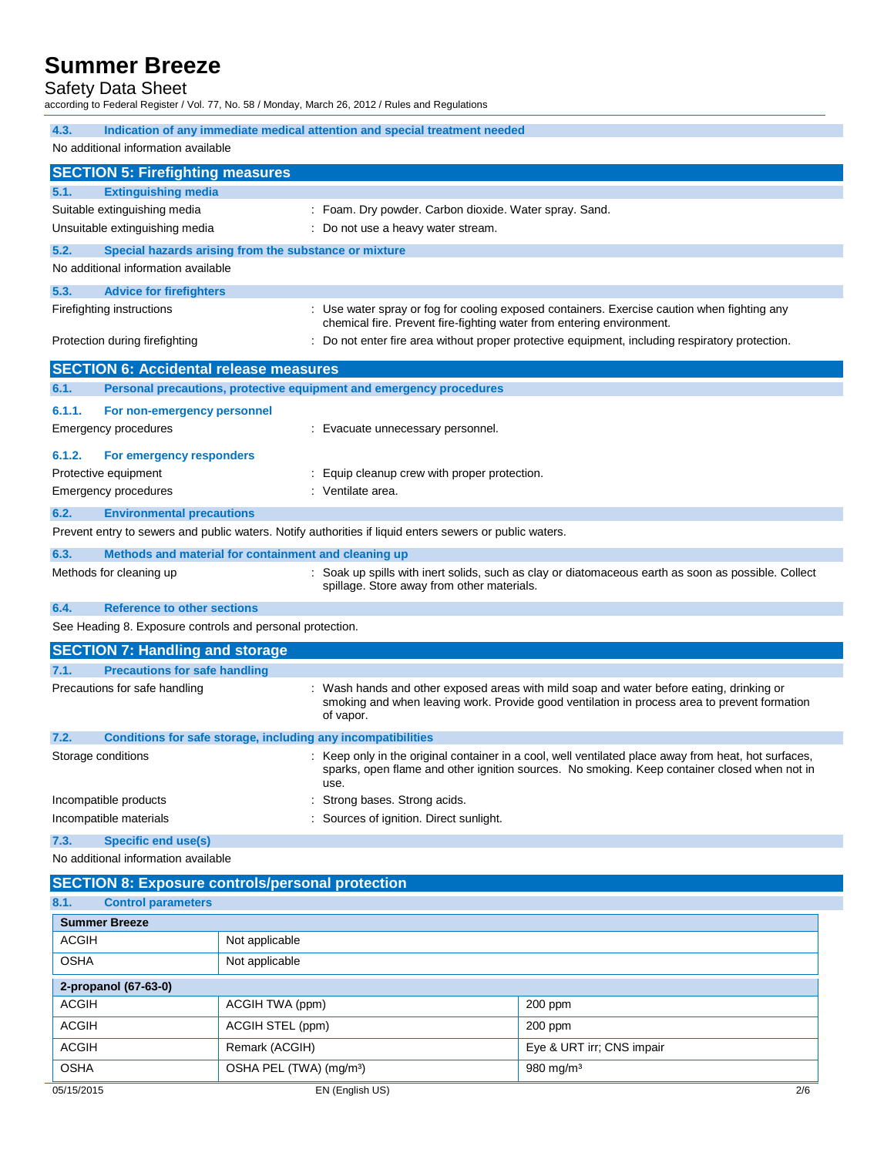#### Safety Data Sheet

according to Federal Register / Vol. 77, No. 58 / Monday, March 26, 2012 / Rules and Regulations

| 4.3.                                                                 | Indication of any immediate medical attention and special treatment needed                                                                                                                                 |  |  |
|----------------------------------------------------------------------|------------------------------------------------------------------------------------------------------------------------------------------------------------------------------------------------------------|--|--|
| No additional information available                                  |                                                                                                                                                                                                            |  |  |
| <b>SECTION 5: Firefighting measures</b>                              |                                                                                                                                                                                                            |  |  |
| 5.1.<br><b>Extinguishing media</b>                                   |                                                                                                                                                                                                            |  |  |
| Suitable extinguishing media                                         | : Foam. Dry powder. Carbon dioxide. Water spray. Sand.                                                                                                                                                     |  |  |
| Unsuitable extinguishing media<br>: Do not use a heavy water stream. |                                                                                                                                                                                                            |  |  |
| 5.2.                                                                 | Special hazards arising from the substance or mixture                                                                                                                                                      |  |  |
| No additional information available                                  |                                                                                                                                                                                                            |  |  |
| 5.3.<br><b>Advice for firefighters</b>                               |                                                                                                                                                                                                            |  |  |
| Firefighting instructions                                            | : Use water spray or fog for cooling exposed containers. Exercise caution when fighting any<br>chemical fire. Prevent fire-fighting water from entering environment.                                       |  |  |
| Protection during firefighting                                       | Do not enter fire area without proper protective equipment, including respiratory protection.                                                                                                              |  |  |
| <b>SECTION 6: Accidental release measures</b>                        |                                                                                                                                                                                                            |  |  |
| 6.1.                                                                 | Personal precautions, protective equipment and emergency procedures                                                                                                                                        |  |  |
| 6.1.1.                                                               |                                                                                                                                                                                                            |  |  |
| For non-emergency personnel                                          |                                                                                                                                                                                                            |  |  |
| Emergency procedures                                                 | : Evacuate unnecessary personnel.                                                                                                                                                                          |  |  |
| 6.1.2.<br>For emergency responders                                   |                                                                                                                                                                                                            |  |  |
| Protective equipment                                                 | : Equip cleanup crew with proper protection.                                                                                                                                                               |  |  |
| <b>Emergency procedures</b>                                          | : Ventilate area.                                                                                                                                                                                          |  |  |
| 6.2.<br><b>Environmental precautions</b>                             |                                                                                                                                                                                                            |  |  |
|                                                                      | Prevent entry to sewers and public waters. Notify authorities if liquid enters sewers or public waters.                                                                                                    |  |  |
| 6.3.                                                                 | Methods and material for containment and cleaning up                                                                                                                                                       |  |  |
| Methods for cleaning up                                              | : Soak up spills with inert solids, such as clay or diatomaceous earth as soon as possible. Collect<br>spillage. Store away from other materials.                                                          |  |  |
| 6.4.<br><b>Reference to other sections</b>                           |                                                                                                                                                                                                            |  |  |
| See Heading 8. Exposure controls and personal protection.            |                                                                                                                                                                                                            |  |  |
| <b>SECTION 7: Handling and storage</b>                               |                                                                                                                                                                                                            |  |  |
| 7.1.<br><b>Precautions for safe handling</b>                         |                                                                                                                                                                                                            |  |  |
| Precautions for safe handling                                        | : Wash hands and other exposed areas with mild soap and water before eating, drinking or<br>smoking and when leaving work. Provide good ventilation in process area to prevent formation<br>of vapor.      |  |  |
| 7.2.                                                                 | Conditions for safe storage, including any incompatibilities                                                                                                                                               |  |  |
| Storage conditions                                                   | Keep only in the original container in a cool, well ventilated place away from heat, hot surfaces,<br>sparks, open flame and other ignition sources. No smoking. Keep container closed when not in<br>use. |  |  |
| Strong bases. Strong acids.<br>Incompatible products                 |                                                                                                                                                                                                            |  |  |
| : Sources of ignition. Direct sunlight.<br>Incompatible materials    |                                                                                                                                                                                                            |  |  |
| <b>Specific end use(s)</b><br>7.3.                                   |                                                                                                                                                                                                            |  |  |
| No additional information available                                  |                                                                                                                                                                                                            |  |  |
| <b>SECTION 8: Exposure controls/personal protection</b>              |                                                                                                                                                                                                            |  |  |
| 8.1.<br><b>Control parameters</b>                                    |                                                                                                                                                                                                            |  |  |
| <b>Summer Breeze</b>                                                 |                                                                                                                                                                                                            |  |  |
| <b>ACGIH</b>                                                         | Not applicable                                                                                                                                                                                             |  |  |
| <b>OSHA</b>                                                          | Not applicable                                                                                                                                                                                             |  |  |
|                                                                      |                                                                                                                                                                                                            |  |  |

| 2-propanol (67-63-0) |                                     |                           |     |
|----------------------|-------------------------------------|---------------------------|-----|
| <b>ACGIH</b>         | ACGIH TWA (ppm)                     | $200$ ppm                 |     |
| <b>ACGIH</b>         | ACGIH STEL (ppm)                    | $200$ ppm                 |     |
| ACGIH                | Remark (ACGIH)                      | Eye & URT irr; CNS impair |     |
| <b>OSHA</b>          | OSHA PEL (TWA) (mg/m <sup>3</sup> ) | $980 \,\mathrm{mg/m^3}$   |     |
| 05/15/2015           | EN (English US)                     |                           | 2/6 |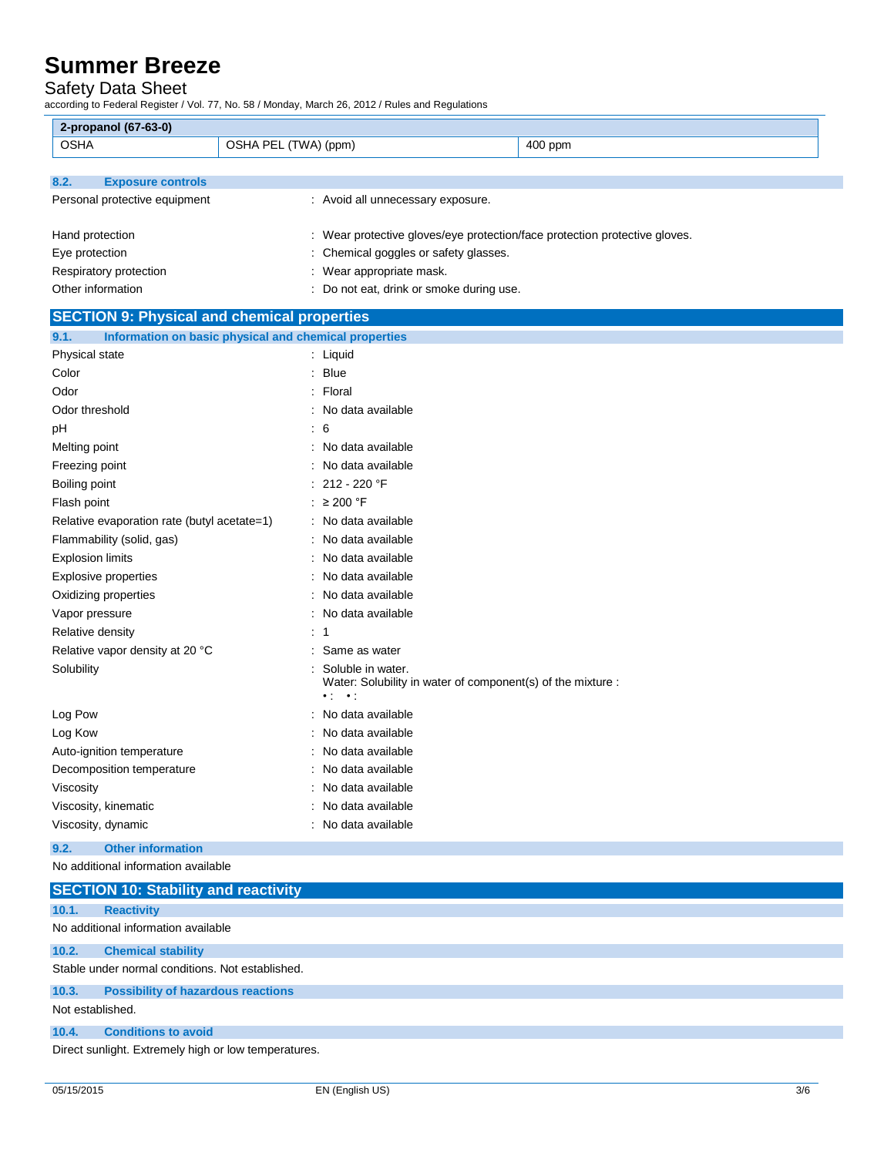#### Safety Data Sheet

according to Federal Register / Vol. 77, No. 58 / Monday, March 26, 2012 / Rules and Regulations

| 2-propanol (67-63-0)                               |                                                       |                                                                            |
|----------------------------------------------------|-------------------------------------------------------|----------------------------------------------------------------------------|
| <b>OSHA</b>                                        | OSHA PEL (TWA) (ppm)                                  | 400 ppm                                                                    |
|                                                    |                                                       |                                                                            |
| 8.2.<br><b>Exposure controls</b>                   |                                                       |                                                                            |
| Personal protective equipment                      | : Avoid all unnecessary exposure.                     |                                                                            |
|                                                    |                                                       |                                                                            |
| Hand protection                                    |                                                       | : Wear protective gloves/eye protection/face protection protective gloves. |
| Eye protection                                     | : Chemical goggles or safety glasses.                 |                                                                            |
| Respiratory protection                             | : Wear appropriate mask.                              |                                                                            |
| Other information                                  | : Do not eat, drink or smoke during use.              |                                                                            |
| <b>SECTION 9: Physical and chemical properties</b> |                                                       |                                                                            |
| 9.1.                                               | Information on basic physical and chemical properties |                                                                            |
| Physical state                                     | : Liquid                                              |                                                                            |
| Color                                              | : Blue                                                |                                                                            |
| Odor                                               | : Floral                                              |                                                                            |
| Odor threshold                                     | : No data available                                   |                                                                            |
| рH                                                 | : 6                                                   |                                                                            |
| Melting point                                      | : No data available                                   |                                                                            |
| Freezing point                                     | No data available                                     |                                                                            |
| Boiling point                                      | : 212 - 220 $\degree$ F                               |                                                                            |
| Flash point                                        | : $\geq 200$ °F                                       |                                                                            |
| Relative evaporation rate (butyl acetate=1)        | : No data available                                   |                                                                            |
| Flammability (solid, gas)                          | : No data available                                   |                                                                            |
| Explosion limits                                   | : No data available                                   |                                                                            |
| <b>Explosive properties</b>                        | : No data available                                   |                                                                            |
| Oxidizing properties                               | : No data available                                   |                                                                            |
| Vapor pressure                                     | No data available                                     |                                                                            |
| Relative density                                   | : 1                                                   |                                                                            |
| Relative vapor density at 20 °C                    | Same as water                                         |                                                                            |
| Solubility                                         | Soluble in water.                                     |                                                                            |
|                                                    | $\bullet$ to $\bullet$ to                             | Water: Solubility in water of component(s) of the mixture :                |
| Log Pow                                            | : No data available                                   |                                                                            |
| Log Kow                                            | : No data available                                   |                                                                            |
| Auto-ignition temperature                          | No data available                                     |                                                                            |
| Decomposition temperature                          | : No data available                                   |                                                                            |
| Viscosity                                          | No data available                                     |                                                                            |
| Viscosity, kinematic                               | No data available                                     |                                                                            |
| Viscosity, dynamic                                 | : No data available                                   |                                                                            |
|                                                    |                                                       |                                                                            |

### **9.2. Other information**

No additional information available

|                                                      | <b>SECTION 10: Stability and reactivity</b>      |  |
|------------------------------------------------------|--------------------------------------------------|--|
| 10.1.                                                | <b>Reactivity</b>                                |  |
|                                                      | No additional information available              |  |
| 10.2.                                                | <b>Chemical stability</b>                        |  |
|                                                      | Stable under normal conditions. Not established. |  |
| 10.3.                                                | <b>Possibility of hazardous reactions</b>        |  |
| Not established.                                     |                                                  |  |
| 10.4.                                                | <b>Conditions to avoid</b>                       |  |
| Direct sunlight. Extremely high or low temperatures. |                                                  |  |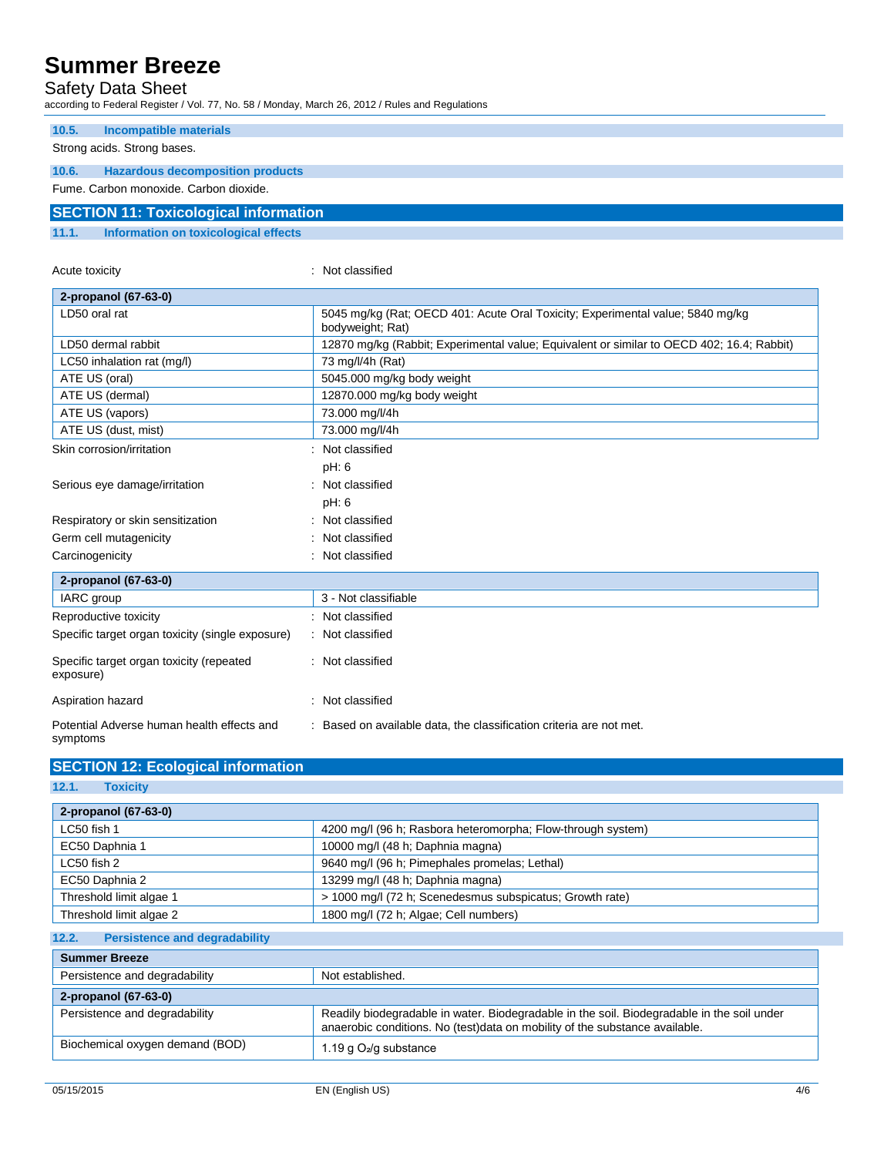### Safety Data Sheet

according to Federal Register / Vol. 77, No. 58 / Monday, March 26, 2012 / Rules and Regulations

Acute toxicity in the contract of the contract of the contract of the contract of the contract of the contract of the contract of the contract of the contract of the contract of the contract of the contract of the contract

| 10.5.                                        | Incompatible materials                  |  |  |
|----------------------------------------------|-----------------------------------------|--|--|
|                                              | Strong acids. Strong bases.             |  |  |
| 10.6.                                        | <b>Hazardous decomposition products</b> |  |  |
|                                              | Fume. Carbon monoxide. Carbon dioxide.  |  |  |
| <b>SECTION 11: Toxicological information</b> |                                         |  |  |
| 11.1.                                        | Information on toxicological effects    |  |  |

#### **2-propanol (67-63-0)** LD50 oral rat **1986 contract 100 oral rat 100 oral Toxicity**; Experimental value; 5840 mg/kg (Rat; OECD 401: Acute Oral Toxicity; Experimental value; 5840 mg/kg bodyweight; Rat) LD50 dermal rabbit **12870 mg/kg (Rabbit; Experimental value**; Equivalent or similar to OECD 402; 16.4; Rabbit) LC50 inhalation rat (mg/l) 73 mg/l/4h (Rat) ATE US (oral) The Solution of the Solution of the Solution of the Solution of the Solution of the Solution of the Solution of the Solution of the Solution of the Solution of the Solution of the Solution of the Solution of ATE US (dermal) **12870.000 mg/kg body weight** ATE US (vapors) 23.000 mg/l/4h ATE US (dust, mist) 73.000 mg/l/4h Skin corrosion/irritation : Not classified pH: 6 Serious eye damage/irritation : Not classified pH: 6 Respiratory or skin sensitization : Not classified Germ cell mutagenicity **in the case of the Classified** in Not classified Carcinogenicity **Carcinogenicity 1999 Carcinogenicity Carcinogenicity Carcinogenicity 2-propanol (67-63-0)** IARC group 3 - Not classifiable Reproductive toxicity **in the set of the CRI and SE** Reproductive toxicity Specific target organ toxicity (single exposure) : Not classified Specific target organ toxicity (repeated exposure) : Not classified Aspiration hazard **in the set of the set of the set of the set of the set of the set of the set of the set of the set of the set of the set of the set of the set of the set of the set of the set of the set of the set of th** Potential Adverse human health effects and symptoms : Based on available data, the classification criteria are not met.

| <b>SECTION 12: Ecological information</b>                                           |                                                                                                                                                                           |  |  |
|-------------------------------------------------------------------------------------|---------------------------------------------------------------------------------------------------------------------------------------------------------------------------|--|--|
| 12.1.<br><b>Toxicity</b>                                                            |                                                                                                                                                                           |  |  |
| 2-propanol (67-63-0)                                                                |                                                                                                                                                                           |  |  |
| LC50 fish 1                                                                         | 4200 mg/l (96 h; Rasbora heteromorpha; Flow-through system)                                                                                                               |  |  |
| EC50 Daphnia 1<br>10000 mg/l (48 h; Daphnia magna)                                  |                                                                                                                                                                           |  |  |
| LC50 fish 2<br>9640 mg/l (96 h; Pimephales promelas; Lethal)                        |                                                                                                                                                                           |  |  |
| EC50 Daphnia 2<br>13299 mg/l (48 h; Daphnia magna)                                  |                                                                                                                                                                           |  |  |
| > 1000 mg/l (72 h; Scenedesmus subspicatus; Growth rate)<br>Threshold limit algae 1 |                                                                                                                                                                           |  |  |
| Threshold limit algae 2<br>1800 mg/l (72 h; Algae; Cell numbers)                    |                                                                                                                                                                           |  |  |
| <b>Persistence and degradability</b><br>12.2.                                       |                                                                                                                                                                           |  |  |
| <b>Summer Breeze</b>                                                                |                                                                                                                                                                           |  |  |
| Persistence and degradability                                                       | Not established.                                                                                                                                                          |  |  |
| 2-propanol (67-63-0)                                                                |                                                                                                                                                                           |  |  |
| Persistence and degradability                                                       | Readily biodegradable in water. Biodegradable in the soil. Biodegradable in the soil under<br>anaerobic conditions. No (test)data on mobility of the substance available. |  |  |
| Biochemical oxygen demand (BOD)                                                     | 1.19 g O <sub>2</sub> /g substance                                                                                                                                        |  |  |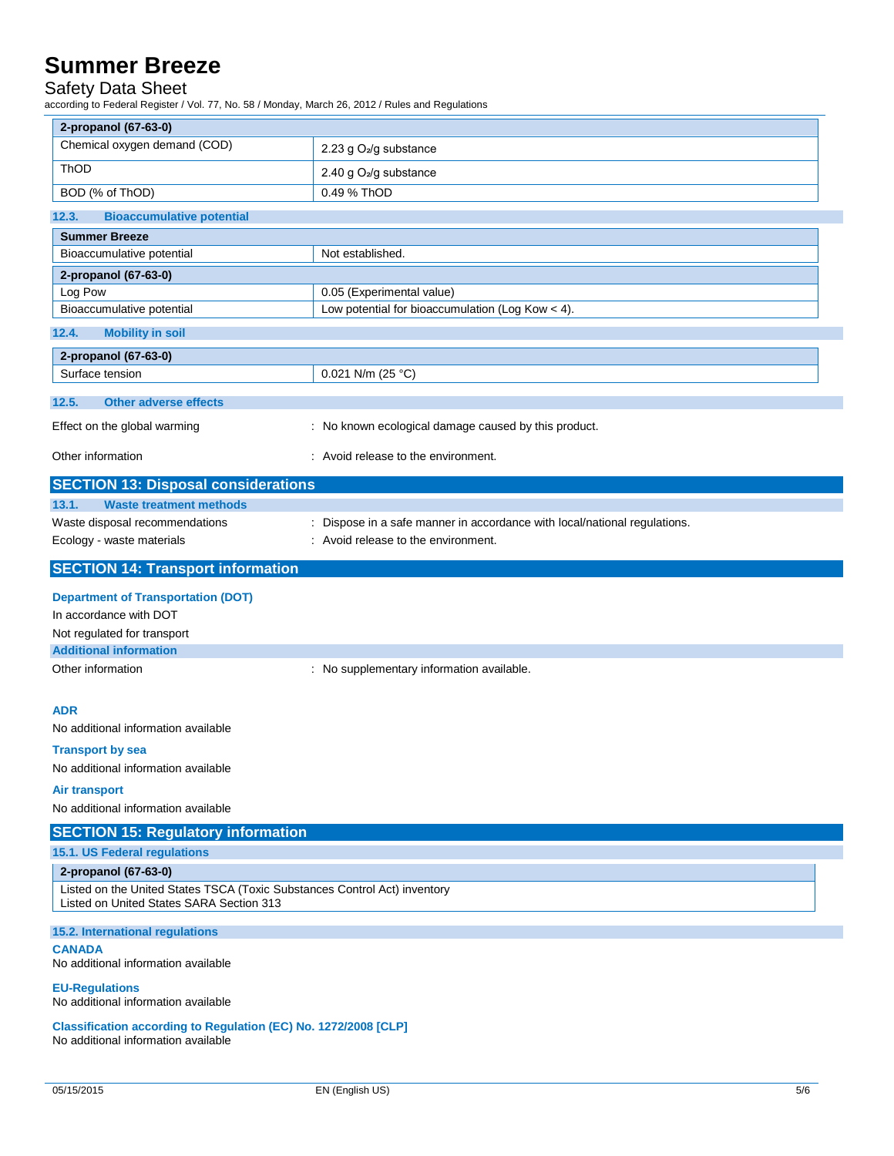### Safety Data Sheet

according to Federal Register / Vol. 77, No. 58 / Monday, March 26, 2012 / Rules and Regulations

| 2-propanol (67-63-0)                                                                                                  |                                                                           |  |
|-----------------------------------------------------------------------------------------------------------------------|---------------------------------------------------------------------------|--|
| Chemical oxygen demand (COD)                                                                                          | 2.23 g O <sub>2</sub> /g substance                                        |  |
| ThOD<br>2.40 g O <sub>2</sub> /g substance                                                                            |                                                                           |  |
| BOD (% of ThOD)                                                                                                       | 0.49 % ThOD                                                               |  |
| <b>Bioaccumulative potential</b><br>12.3.                                                                             |                                                                           |  |
| <b>Summer Breeze</b>                                                                                                  |                                                                           |  |
| Bioaccumulative potential                                                                                             | Not established.                                                          |  |
| 2-propanol (67-63-0)                                                                                                  |                                                                           |  |
| Log Pow                                                                                                               | 0.05 (Experimental value)                                                 |  |
| Bioaccumulative potential                                                                                             | Low potential for bioaccumulation (Log Kow $<$ 4).                        |  |
| 12.4.<br><b>Mobility in soil</b>                                                                                      |                                                                           |  |
| 2-propanol (67-63-0)                                                                                                  |                                                                           |  |
| Surface tension                                                                                                       | 0.021 N/m (25 °C)                                                         |  |
|                                                                                                                       |                                                                           |  |
| <b>Other adverse effects</b><br>12.5.                                                                                 |                                                                           |  |
| Effect on the global warming                                                                                          | : No known ecological damage caused by this product.                      |  |
| Other information                                                                                                     | : Avoid release to the environment.                                       |  |
| <b>SECTION 13: Disposal considerations</b>                                                                            |                                                                           |  |
| 13.1.<br><b>Waste treatment methods</b>                                                                               |                                                                           |  |
| Waste disposal recommendations                                                                                        | : Dispose in a safe manner in accordance with local/national regulations. |  |
| Ecology - waste materials                                                                                             | : Avoid release to the environment.                                       |  |
|                                                                                                                       |                                                                           |  |
| <b>SECTION 14: Transport information</b>                                                                              |                                                                           |  |
| <b>Department of Transportation (DOT)</b>                                                                             |                                                                           |  |
| In accordance with DOT                                                                                                |                                                                           |  |
| Not regulated for transport                                                                                           |                                                                           |  |
| <b>Additional information</b>                                                                                         |                                                                           |  |
| Other information                                                                                                     | : No supplementary information available.                                 |  |
|                                                                                                                       |                                                                           |  |
| <b>ADR</b>                                                                                                            |                                                                           |  |
| No additional information available                                                                                   |                                                                           |  |
| <b>Transport by sea</b>                                                                                               |                                                                           |  |
| No additional information available                                                                                   |                                                                           |  |
| Air transport                                                                                                         |                                                                           |  |
| No additional information available                                                                                   |                                                                           |  |
| <b>SECTION 15: Regulatory information</b>                                                                             |                                                                           |  |
| 15.1. US Federal regulations                                                                                          |                                                                           |  |
| 2-propanol (67-63-0)                                                                                                  |                                                                           |  |
| Listed on the United States TSCA (Toxic Substances Control Act) inventory<br>Listed on United States SARA Section 313 |                                                                           |  |
| 15.2. International regulations                                                                                       |                                                                           |  |
| <b>CANADA</b>                                                                                                         |                                                                           |  |
| No additional information available                                                                                   |                                                                           |  |
| <b>EU-Regulations</b><br>No additional information available                                                          |                                                                           |  |
| Classification according to Regulation (EC) No. 1272/2008 [CLP]<br>No additional information available                |                                                                           |  |